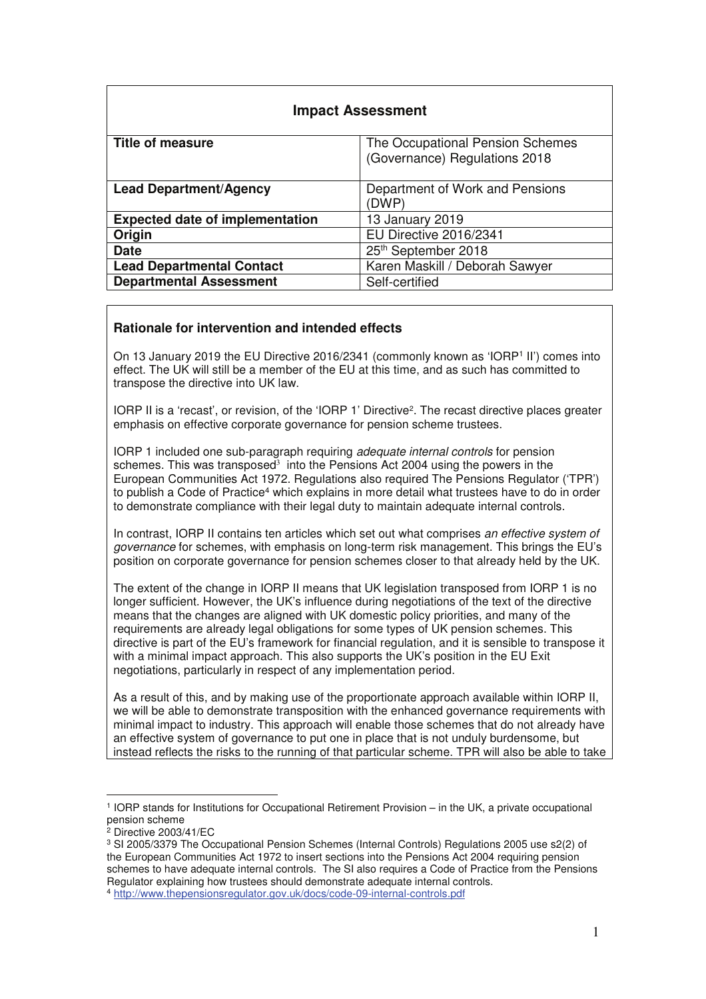| <b>Impact Assessment</b>                                           |                                  |  |  |  |  |
|--------------------------------------------------------------------|----------------------------------|--|--|--|--|
| <b>Title of measure</b>                                            | The Occupational Pension Schemes |  |  |  |  |
|                                                                    | (Governance) Regulations 2018    |  |  |  |  |
|                                                                    |                                  |  |  |  |  |
| <b>Lead Department/Agency</b>                                      | Department of Work and Pensions  |  |  |  |  |
|                                                                    | (DWP)                            |  |  |  |  |
| <b>Expected date of implementation</b>                             | 13 January 2019                  |  |  |  |  |
| Origin                                                             | EU Directive 2016/2341           |  |  |  |  |
| <b>Date</b>                                                        | 25th September 2018              |  |  |  |  |
| Karen Maskill / Deborah Sawyer<br><b>Lead Departmental Contact</b> |                                  |  |  |  |  |
| <b>Departmental Assessment</b>                                     | Self-certified                   |  |  |  |  |

# **Rationale for intervention and intended effects**

On 13 January 2019 the EU Directive 2016/2341 (commonly known as 'IORP1 II') comes into effect. The UK will still be a member of the EU at this time, and as such has committed to transpose the directive into UK law.

IORP II is a 'recast', or revision, of the 'IORP 1' Directive<sup>2</sup>. The recast directive places greater emphasis on effective corporate governance for pension scheme trustees.

IORP 1 included one sub-paragraph requiring *adequate internal controls* for pension schemes. This was transposed<sup>3</sup> into the Pensions Act 2004 using the powers in the European Communities Act 1972. Regulations also required The Pensions Regulator ('TPR') to publish a Code of Practice<sup>4</sup> which explains in more detail what trustees have to do in order to demonstrate compliance with their legal duty to maintain adequate internal controls.

In contrast, IORP II contains ten articles which set out what comprises *an effective system of governance* for schemes, with emphasis on long-term risk management. This brings the EU's position on corporate governance for pension schemes closer to that already held by the UK.

The extent of the change in IORP II means that UK legislation transposed from IORP 1 is no longer sufficient. However, the UK's influence during negotiations of the text of the directive means that the changes are aligned with UK domestic policy priorities, and many of the requirements are already legal obligations for some types of UK pension schemes. This directive is part of the EU's framework for financial regulation, and it is sensible to transpose it with a minimal impact approach. This also supports the UK's position in the EU Exit negotiations, particularly in respect of any implementation period.

As a result of this, and by making use of the proportionate approach available within IORP II, we will be able to demonstrate transposition with the enhanced governance requirements with minimal impact to industry. This approach will enable those schemes that do not already have an effective system of governance to put one in place that is not unduly burdensome, but instead reflects the risks to the running of that particular scheme. TPR will also be able to take

 $\overline{a}$ 

<sup>1</sup> IORP stands for Institutions for Occupational Retirement Provision – in the UK, a private occupational pension scheme<br><sup>2</sup> Directive 2003/41/EC

<sup>&</sup>lt;sup>3</sup> SI 2005/3379 The Occupational Pension Schemes (Internal Controls) Regulations 2005 use s2(2) of the European Communities Act 1972 to insert sections into the Pensions Act 2004 requiring pension schemes to have adequate internal controls. The SI also requires a Code of Practice from the Pensions Regulator explaining how trustees should demonstrate adequate internal controls.

<sup>4</sup> http://www.thepensionsregulator.gov.uk/docs/code-09-internal-controls.pdf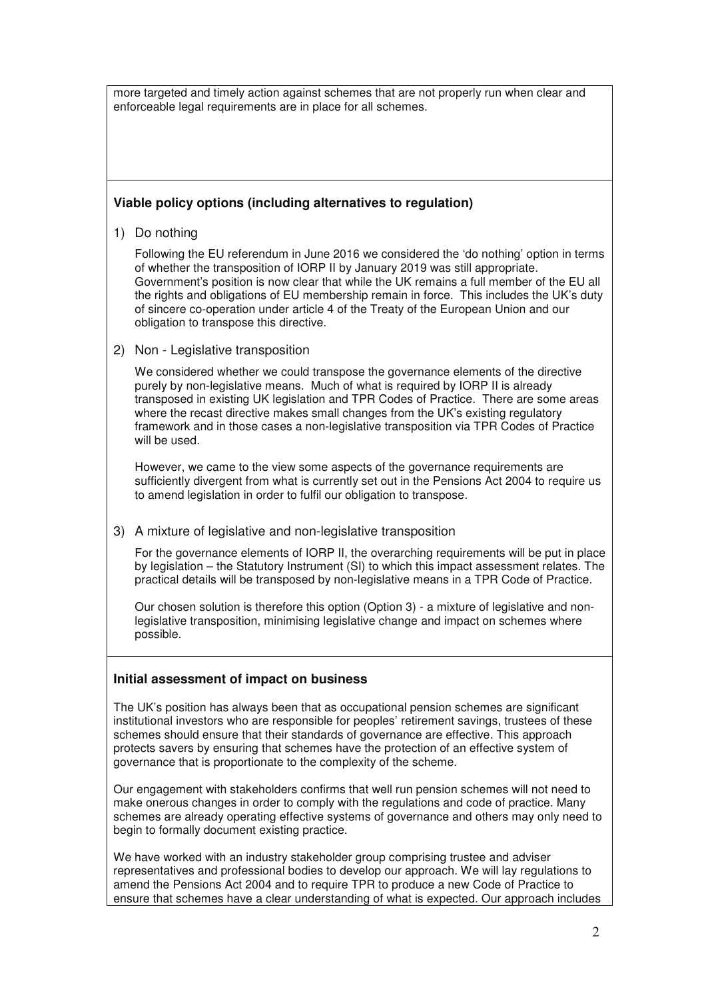more targeted and timely action against schemes that are not properly run when clear and enforceable legal requirements are in place for all schemes.

## **Viable policy options (including alternatives to regulation)**

1) Do nothing

Following the EU referendum in June 2016 we considered the 'do nothing' option in terms of whether the transposition of IORP II by January 2019 was still appropriate. Government's position is now clear that while the UK remains a full member of the EU all the rights and obligations of EU membership remain in force. This includes the UK's duty of sincere co-operation under article 4 of the Treaty of the European Union and our obligation to transpose this directive.

2) Non - Legislative transposition

We considered whether we could transpose the governance elements of the directive purely by non-legislative means. Much of what is required by IORP II is already transposed in existing UK legislation and TPR Codes of Practice. There are some areas where the recast directive makes small changes from the UK's existing regulatory framework and in those cases a non-legislative transposition via TPR Codes of Practice will be used.

However, we came to the view some aspects of the governance requirements are sufficiently divergent from what is currently set out in the Pensions Act 2004 to require us to amend legislation in order to fulfil our obligation to transpose.

3) A mixture of legislative and non-legislative transposition

For the governance elements of IORP II, the overarching requirements will be put in place by legislation – the Statutory Instrument (SI) to which this impact assessment relates. The practical details will be transposed by non-legislative means in a TPR Code of Practice.

Our chosen solution is therefore this option (Option 3) - a mixture of legislative and nonlegislative transposition, minimising legislative change and impact on schemes where possible.

## **Initial assessment of impact on business**

The UK's position has always been that as occupational pension schemes are significant institutional investors who are responsible for peoples' retirement savings, trustees of these schemes should ensure that their standards of governance are effective. This approach protects savers by ensuring that schemes have the protection of an effective system of governance that is proportionate to the complexity of the scheme.

Our engagement with stakeholders confirms that well run pension schemes will not need to make onerous changes in order to comply with the regulations and code of practice. Many schemes are already operating effective systems of governance and others may only need to begin to formally document existing practice.

We have worked with an industry stakeholder group comprising trustee and adviser representatives and professional bodies to develop our approach. We will lay regulations to amend the Pensions Act 2004 and to require TPR to produce a new Code of Practice to ensure that schemes have a clear understanding of what is expected. Our approach includes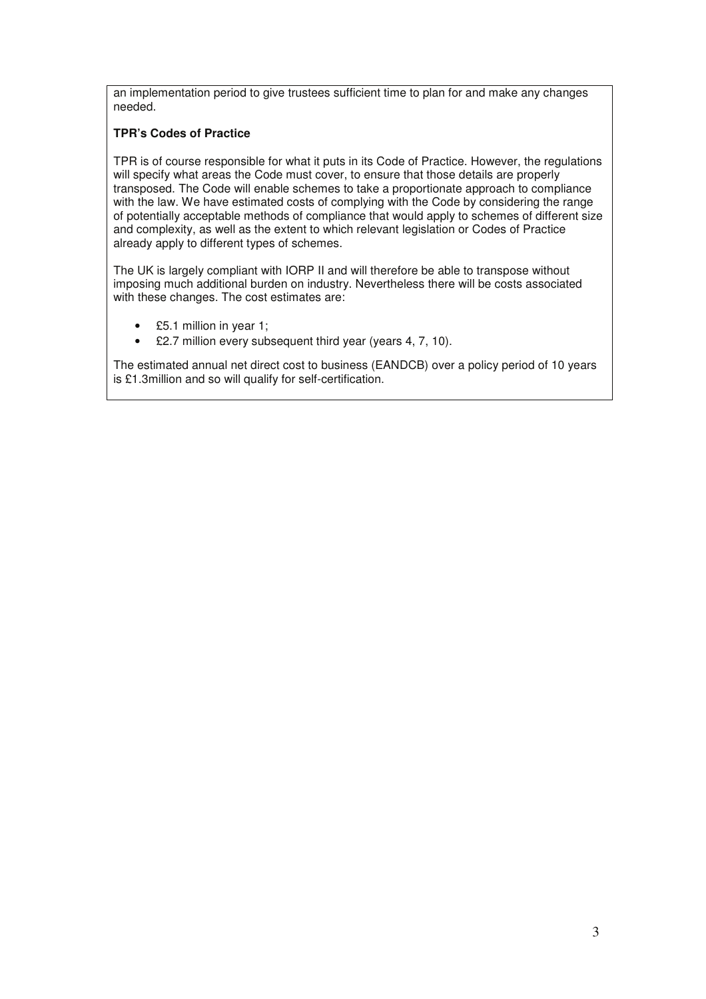an implementation period to give trustees sufficient time to plan for and make any changes needed.

# **TPR's Codes of Practice**

TPR is of course responsible for what it puts in its Code of Practice. However, the regulations will specify what areas the Code must cover, to ensure that those details are properly transposed. The Code will enable schemes to take a proportionate approach to compliance with the law. We have estimated costs of complying with the Code by considering the range of potentially acceptable methods of compliance that would apply to schemes of different size and complexity, as well as the extent to which relevant legislation or Codes of Practice already apply to different types of schemes.

The UK is largely compliant with IORP II and will therefore be able to transpose without imposing much additional burden on industry. Nevertheless there will be costs associated with these changes. The cost estimates are:

- £5.1 million in year 1;
- £2.7 million every subsequent third year (years 4, 7, 10).

The estimated annual net direct cost to business (EANDCB) over a policy period of 10 years is £1.3million and so will qualify for self-certification.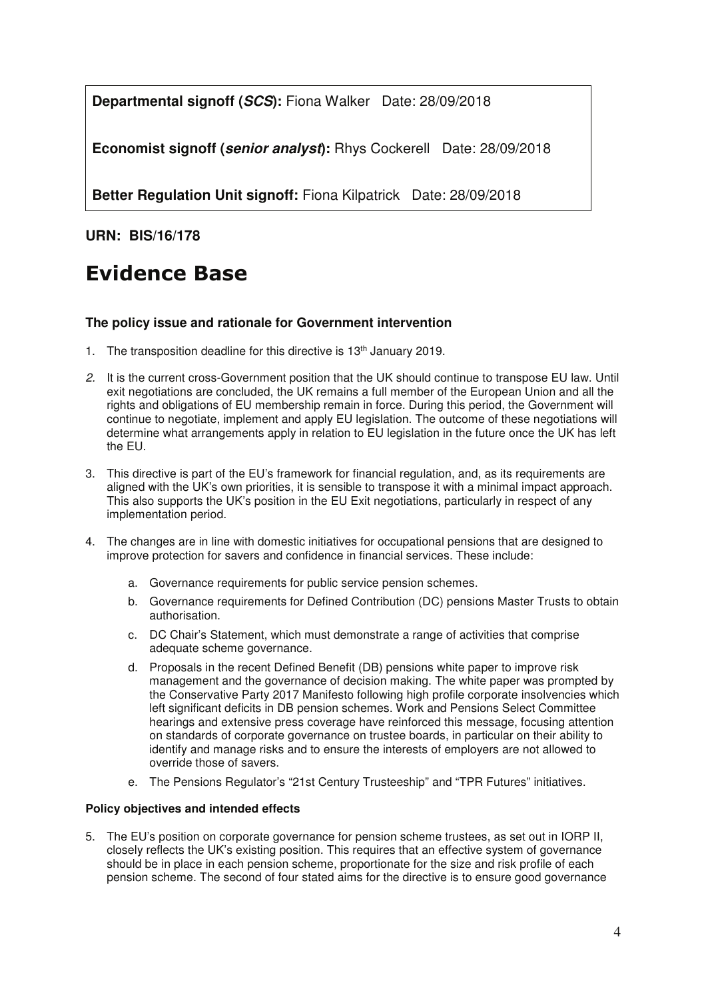**Departmental signoff (SCS):** Fiona Walker Date: 28/09/2018

**Economist signoff (senior analyst):** Rhys CockerellDate: 28/09/2018

**Better Regulation Unit signoff:** Fiona Kilpatrick Date: 28/09/2018

**URN: BIS/16/178** 

# **Evidence Base**

## **The policy issue and rationale for Government intervention**

- 1. The transposition deadline for this directive is 13<sup>th</sup> January 2019.
- *2.* It is the current cross-Government position that the UK should continue to transpose EU law. Until exit negotiations are concluded, the UK remains a full member of the European Union and all the rights and obligations of EU membership remain in force. During this period, the Government will continue to negotiate, implement and apply EU legislation. The outcome of these negotiations will determine what arrangements apply in relation to EU legislation in the future once the UK has left the EU.
- 3. This directive is part of the EU's framework for financial regulation, and, as its requirements are aligned with the UK's own priorities, it is sensible to transpose it with a minimal impact approach. This also supports the UK's position in the EU Exit negotiations, particularly in respect of any implementation period.
- 4. The changes are in line with domestic initiatives for occupational pensions that are designed to improve protection for savers and confidence in financial services. These include:
	- a. Governance requirements for public service pension schemes.
	- b. Governance requirements for Defined Contribution (DC) pensions Master Trusts to obtain authorisation.
	- c. DC Chair's Statement, which must demonstrate a range of activities that comprise adequate scheme governance.
	- d. Proposals in the recent Defined Benefit (DB) pensions white paper to improve risk management and the governance of decision making. The white paper was prompted by the Conservative Party 2017 Manifesto following high profile corporate insolvencies which left significant deficits in DB pension schemes. Work and Pensions Select Committee hearings and extensive press coverage have reinforced this message, focusing attention on standards of corporate governance on trustee boards, in particular on their ability to identify and manage risks and to ensure the interests of employers are not allowed to override those of savers.
	- e. The Pensions Regulator's "21st Century Trusteeship" and "TPR Futures" initiatives.

#### **Policy objectives and intended effects**

5. The EU's position on corporate governance for pension scheme trustees, as set out in IORP II, closely reflects the UK's existing position. This requires that an effective system of governance should be in place in each pension scheme, proportionate for the size and risk profile of each pension scheme. The second of four stated aims for the directive is to ensure good governance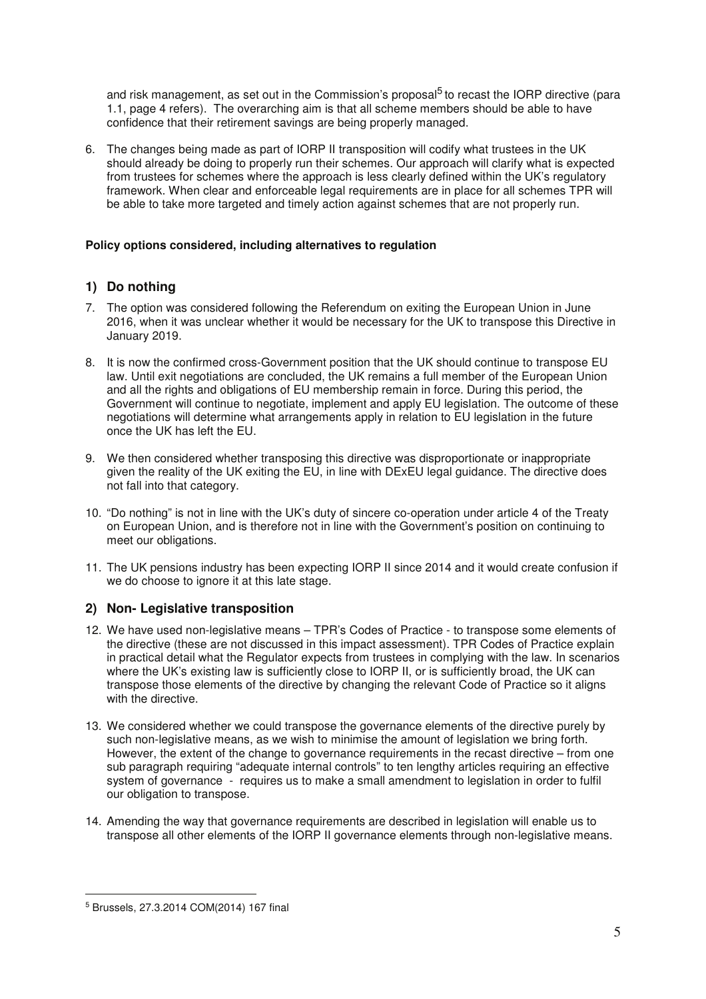and risk management, as set out in the Commission's proposal<sup>5</sup> to recast the IORP directive (para 1.1, page 4 refers). The overarching aim is that all scheme members should be able to have confidence that their retirement savings are being properly managed.

6. The changes being made as part of IORP II transposition will codify what trustees in the UK should already be doing to properly run their schemes. Our approach will clarify what is expected from trustees for schemes where the approach is less clearly defined within the UK's regulatory framework. When clear and enforceable legal requirements are in place for all schemes TPR will be able to take more targeted and timely action against schemes that are not properly run.

#### **Policy options considered, including alternatives to regulation**

# **1) Do nothing**

- 7. The option was considered following the Referendum on exiting the European Union in June 2016, when it was unclear whether it would be necessary for the UK to transpose this Directive in January 2019.
- 8. It is now the confirmed cross-Government position that the UK should continue to transpose EU law. Until exit negotiations are concluded, the UK remains a full member of the European Union and all the rights and obligations of EU membership remain in force. During this period, the Government will continue to negotiate, implement and apply EU legislation. The outcome of these negotiations will determine what arrangements apply in relation to EU legislation in the future once the UK has left the EU.
- 9. We then considered whether transposing this directive was disproportionate or inappropriate given the reality of the UK exiting the EU, in line with DExEU legal guidance. The directive does not fall into that category.
- 10. "Do nothing" is not in line with the UK's duty of sincere co-operation under article 4 of the Treaty on European Union, and is therefore not in line with the Government's position on continuing to meet our obligations.
- 11. The UK pensions industry has been expecting IORP II since 2014 and it would create confusion if we do choose to ignore it at this late stage.

## **2) Non- Legislative transposition**

- 12. We have used non-legislative means TPR's Codes of Practice to transpose some elements of the directive (these are not discussed in this impact assessment). TPR Codes of Practice explain in practical detail what the Regulator expects from trustees in complying with the law. In scenarios where the UK's existing law is sufficiently close to IORP II, or is sufficiently broad, the UK can transpose those elements of the directive by changing the relevant Code of Practice so it aligns with the directive.
- 13. We considered whether we could transpose the governance elements of the directive purely by such non-legislative means, as we wish to minimise the amount of legislation we bring forth. However, the extent of the change to governance requirements in the recast directive – from one sub paragraph requiring "adequate internal controls" to ten lengthy articles requiring an effective system of governance - requires us to make a small amendment to legislation in order to fulfil our obligation to transpose.
- 14. Amending the way that governance requirements are described in legislation will enable us to transpose all other elements of the IORP II governance elements through non-legislative means.

 $\overline{a}$ 

<sup>5</sup> Brussels, 27.3.2014 COM(2014) 167 final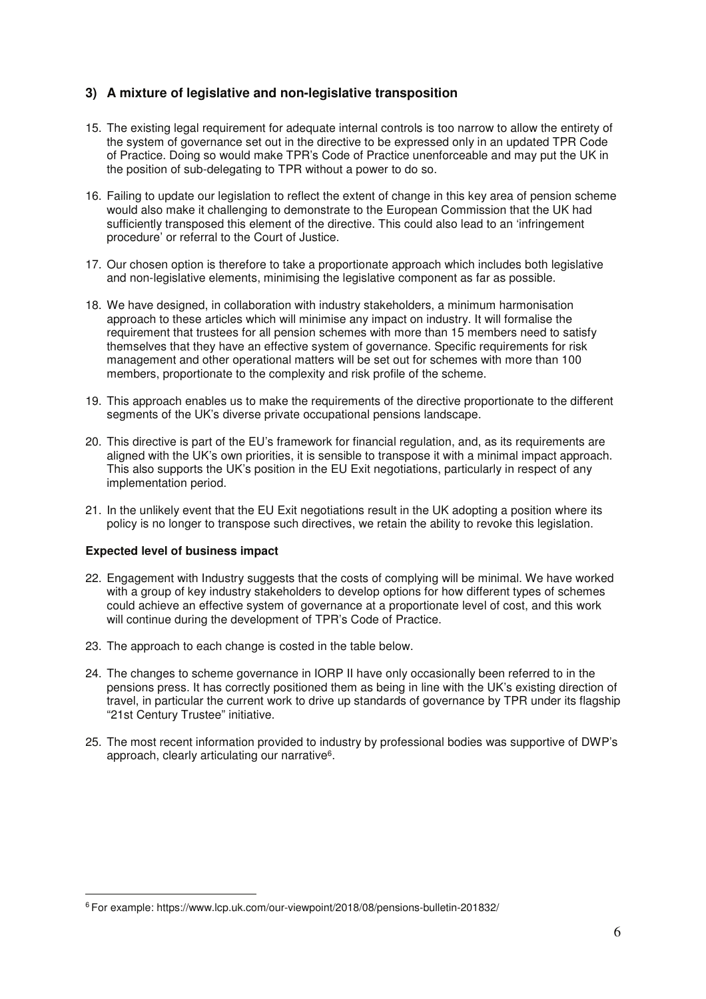# **3) A mixture of legislative and non-legislative transposition**

- 15. The existing legal requirement for adequate internal controls is too narrow to allow the entirety of the system of governance set out in the directive to be expressed only in an updated TPR Code of Practice. Doing so would make TPR's Code of Practice unenforceable and may put the UK in the position of sub-delegating to TPR without a power to do so.
- 16. Failing to update our legislation to reflect the extent of change in this key area of pension scheme would also make it challenging to demonstrate to the European Commission that the UK had sufficiently transposed this element of the directive. This could also lead to an 'infringement procedure' or referral to the Court of Justice.
- 17. Our chosen option is therefore to take a proportionate approach which includes both legislative and non-legislative elements, minimising the legislative component as far as possible.
- 18. We have designed, in collaboration with industry stakeholders, a minimum harmonisation approach to these articles which will minimise any impact on industry. It will formalise the requirement that trustees for all pension schemes with more than 15 members need to satisfy themselves that they have an effective system of governance. Specific requirements for risk management and other operational matters will be set out for schemes with more than 100 members, proportionate to the complexity and risk profile of the scheme.
- 19. This approach enables us to make the requirements of the directive proportionate to the different segments of the UK's diverse private occupational pensions landscape.
- 20. This directive is part of the EU's framework for financial regulation, and, as its requirements are aligned with the UK's own priorities, it is sensible to transpose it with a minimal impact approach. This also supports the UK's position in the EU Exit negotiations, particularly in respect of any implementation period.
- 21. In the unlikely event that the EU Exit negotiations result in the UK adopting a position where its policy is no longer to transpose such directives, we retain the ability to revoke this legislation.

#### **Expected level of business impact**

 $\overline{a}$ 

- 22. Engagement with Industry suggests that the costs of complying will be minimal. We have worked with a group of key industry stakeholders to develop options for how different types of schemes could achieve an effective system of governance at a proportionate level of cost, and this work will continue during the development of TPR's Code of Practice.
- 23. The approach to each change is costed in the table below.
- 24. The changes to scheme governance in IORP II have only occasionally been referred to in the pensions press. It has correctly positioned them as being in line with the UK's existing direction of travel, in particular the current work to drive up standards of governance by TPR under its flagship "21st Century Trustee" initiative.
- 25. The most recent information provided to industry by professional bodies was supportive of DWP's approach, clearly articulating our narrative<sup>6</sup>.

<sup>6</sup> For example: https://www.lcp.uk.com/our-viewpoint/2018/08/pensions-bulletin-201832/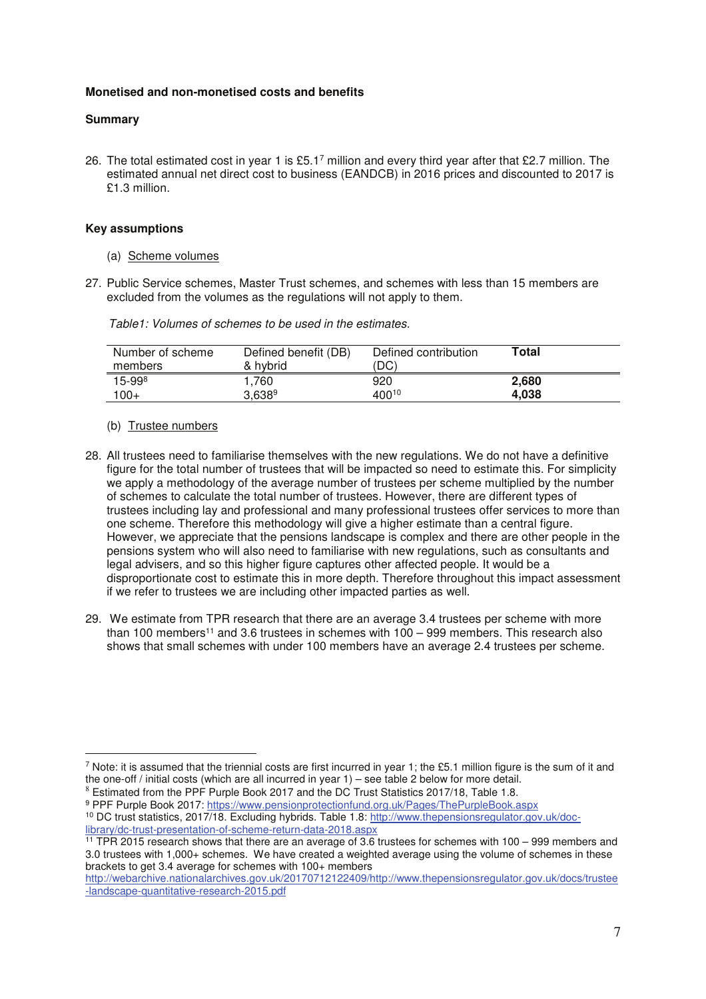#### **Monetised and non-monetised costs and benefits**

#### **Summary**

26. The total estimated cost in year 1 is £5.1<sup>7</sup> million and every third year after that £2.7 million. The estimated annual net direct cost to business (EANDCB) in 2016 prices and discounted to 2017 is £1.3 million.

#### **Key assumptions**

- (a) Scheme volumes
- 27. Public Service schemes, Master Trust schemes, and schemes with less than 15 members are excluded from the volumes as the regulations will not apply to them.

|  |  | Table1: Volumes of schemes to be used in the estimates. |
|--|--|---------------------------------------------------------|
|--|--|---------------------------------------------------------|

| Number of scheme<br>members | Defined benefit (DB)<br>& hybrid | Defined contribution<br>(DC) | Total |
|-----------------------------|----------------------------------|------------------------------|-------|
| $15 - 998$                  | .760                             | 920                          | 2.680 |
| $100+$                      | 3,6389                           | 40010                        | 4.038 |

(b) Trustee numbers

l.

- 28. All trustees need to familiarise themselves with the new regulations. We do not have a definitive figure for the total number of trustees that will be impacted so need to estimate this. For simplicity we apply a methodology of the average number of trustees per scheme multiplied by the number of schemes to calculate the total number of trustees. However, there are different types of trustees including lay and professional and many professional trustees offer services to more than one scheme. Therefore this methodology will give a higher estimate than a central figure. However, we appreciate that the pensions landscape is complex and there are other people in the pensions system who will also need to familiarise with new regulations, such as consultants and legal advisers, and so this higher figure captures other affected people. It would be a disproportionate cost to estimate this in more depth. Therefore throughout this impact assessment if we refer to trustees we are including other impacted parties as well.
- 29. We estimate from TPR research that there are an average 3.4 trustees per scheme with more than 100 members<sup>11</sup> and 3.6 trustees in schemes with  $100 - 999$  members. This research also shows that small schemes with under 100 members have an average 2.4 trustees per scheme.

 $^7$  Note: it is assumed that the triennial costs are first incurred in year 1; the £5.1 million figure is the sum of it and the one-off / initial costs (which are all incurred in year 1) – see table 2 below for more detail.

<sup>8</sup> Estimated from the PPF Purple Book 2017 and the DC Trust Statistics 2017/18, Table 1.8.

<sup>&</sup>lt;sup>9</sup> PPF Purple Book 2017: https://www.pensionprotectionfund.org.uk/Pages/ThePurpleBook.aspx 10 DC trust statistics, 2017/18. Excluding hybrids. Table 1.8: http://www.thepensionsregulator.gov.uk/doclibrary/dc-trust-presentation-of-scheme-return-data-2018.aspx

<sup>&</sup>lt;sup>11</sup> TPR 2015 research shows that there are an average of 3.6 trustees for schemes with 100 – 999 members and 3.0 trustees with 1,000+ schemes. We have created a weighted average using the volume of schemes in these brackets to get 3.4 average for schemes with 100+ members

http://webarchive.nationalarchives.gov.uk/20170712122409/http://www.thepensionsregulator.gov.uk/docs/trustee -landscape-quantitative-research-2015.pdf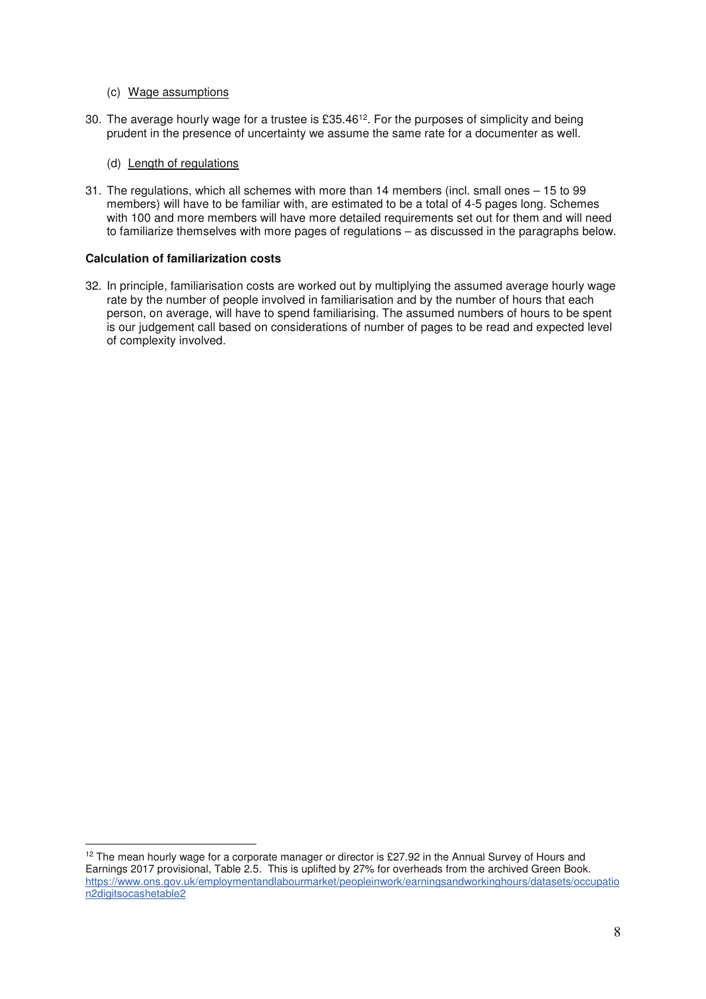- (c) Wage assumptions
- 30. The average hourly wage for a trustee is £35.46<sup>12</sup>. For the purposes of simplicity and being prudent in the presence of uncertainty we assume the same rate for a documenter as well.
	- (d) Length of regulations
- 31. The regulations, which all schemes with more than 14 members (incl. small ones 15 to 99 members) will have to be familiar with, are estimated to be a total of 4-5 pages long. Schemes with 100 and more members will have more detailed requirements set out for them and will need to familiarize themselves with more pages of regulations – as discussed in the paragraphs below.

#### **Calculation of familiarization costs**

l.

32. In principle, familiarisation costs are worked out by multiplying the assumed average hourly wage rate by the number of people involved in familiarisation and by the number of hours that each person, on average, will have to spend familiarising. The assumed numbers of hours to be spent is our judgement call based on considerations of number of pages to be read and expected level of complexity involved.

<sup>&</sup>lt;sup>12</sup> The mean hourly wage for a corporate manager or director is £27.92 in the Annual Survey of Hours and Earnings 2017 provisional, Table 2.5. This is uplifted by 27% for overheads from the archived Green Book. https://www.ons.gov.uk/employmentandlabourmarket/peopleinwork/earningsandworkinghours/datasets/occupatio n2digitsocashetable2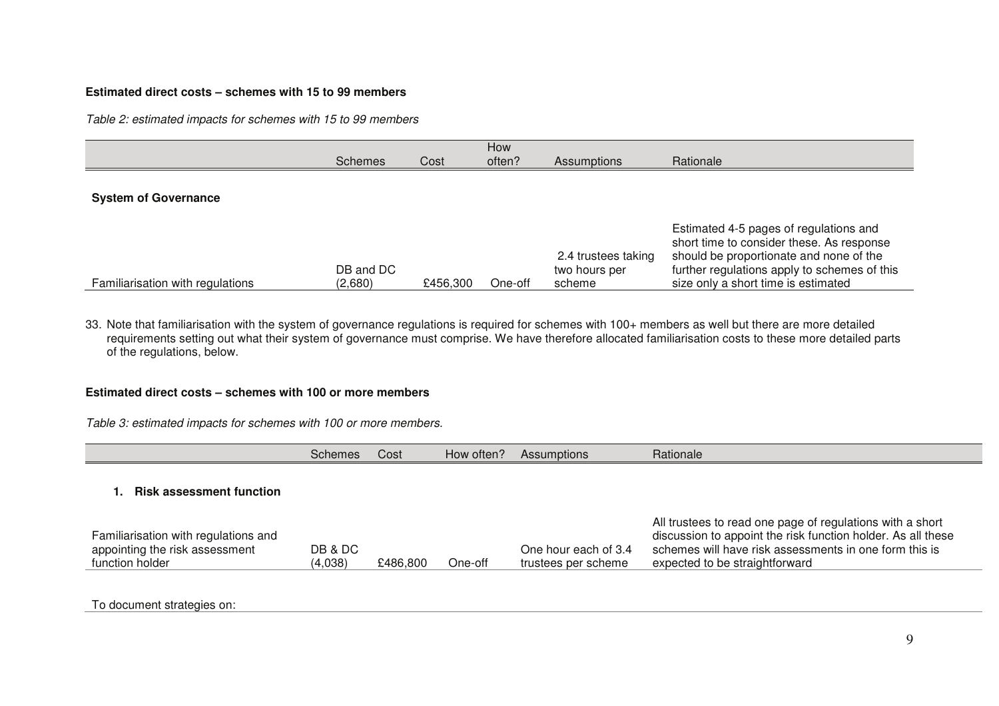## **Estimated direct costs – schemes with 15 to 99 members**

*Table 2: estimated impacts for schemes with 15 to 99 members* 

|                                  | Schemes              | Cost     | How<br>often? | <b>Assumptions</b>                             | Rationale                                                                                                                                                                                                             |
|----------------------------------|----------------------|----------|---------------|------------------------------------------------|-----------------------------------------------------------------------------------------------------------------------------------------------------------------------------------------------------------------------|
| <b>System of Governance</b>      |                      |          |               |                                                |                                                                                                                                                                                                                       |
| Familiarisation with regulations | DB and DC<br>(2,680) | £456.300 | One-off       | 2.4 trustees taking<br>two hours per<br>scheme | Estimated 4-5 pages of regulations and<br>short time to consider these. As response<br>should be proportionate and none of the<br>further regulations apply to schemes of this<br>size only a short time is estimated |

33. Note that familiarisation with the system of governance regulations is required for schemes with 100+ members as well but there are more detailed requirements setting out what their system of governance must comprise. We have therefore allocated familiarisation costs to these more detailed parts of the regulations, below.

#### **Estimated direct costs – schemes with 100 or more members**

*Table 3: estimated impacts for schemes with 100 or more members.* 

|                                                                                           | Schemes            | Cost     | How often? | Assumptions                                 | Rationale                                                                                                                                                                                                             |
|-------------------------------------------------------------------------------------------|--------------------|----------|------------|---------------------------------------------|-----------------------------------------------------------------------------------------------------------------------------------------------------------------------------------------------------------------------|
| <b>Risk assessment function</b>                                                           |                    |          |            |                                             |                                                                                                                                                                                                                       |
| Familiarisation with regulations and<br>appointing the risk assessment<br>function holder | DB & DC<br>(4,038) | £486,800 | One-off    | One hour each of 3.4<br>trustees per scheme | All trustees to read one page of regulations with a short<br>discussion to appoint the risk function holder. As all these<br>schemes will have risk assessments in one form this is<br>expected to be straightforward |

To document strategies on: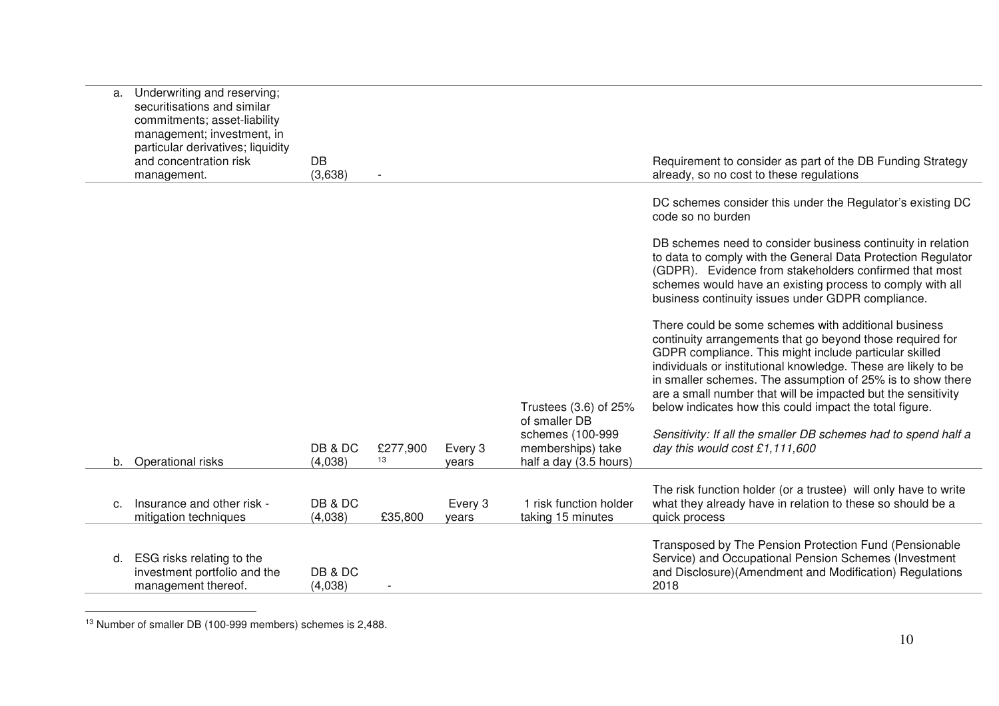| a. | Underwriting and reserving;<br>securitisations and similar<br>commitments; asset-liability<br>management; investment, in<br>particular derivatives; liquidity<br>and concentration risk<br>management. | <b>DB</b><br>(3,638) |                |                  |                                                                 | Requirement to consider as part of the DB Funding Strategy<br>already, so no cost to these regulations                                                                                                                                                                                                                                                                                                                                 |
|----|--------------------------------------------------------------------------------------------------------------------------------------------------------------------------------------------------------|----------------------|----------------|------------------|-----------------------------------------------------------------|----------------------------------------------------------------------------------------------------------------------------------------------------------------------------------------------------------------------------------------------------------------------------------------------------------------------------------------------------------------------------------------------------------------------------------------|
|    |                                                                                                                                                                                                        |                      |                |                  |                                                                 | DC schemes consider this under the Regulator's existing DC<br>code so no burden                                                                                                                                                                                                                                                                                                                                                        |
|    |                                                                                                                                                                                                        |                      |                |                  |                                                                 | DB schemes need to consider business continuity in relation<br>to data to comply with the General Data Protection Regulator<br>(GDPR). Evidence from stakeholders confirmed that most<br>schemes would have an existing process to comply with all<br>business continuity issues under GDPR compliance.                                                                                                                                |
|    |                                                                                                                                                                                                        |                      |                |                  | Trustees (3.6) of 25%<br>of smaller DB                          | There could be some schemes with additional business<br>continuity arrangements that go beyond those required for<br>GDPR compliance. This might include particular skilled<br>individuals or institutional knowledge. These are likely to be<br>in smaller schemes. The assumption of 25% is to show there<br>are a small number that will be impacted but the sensitivity<br>below indicates how this could impact the total figure. |
|    | b. Operational risks                                                                                                                                                                                   | DB & DC<br>(4,038)   | £277,900<br>13 | Every 3<br>vears | schemes (100-999<br>memberships) take<br>half a day (3.5 hours) | Sensitivity: If all the smaller DB schemes had to spend half a<br>day this would cost £1,111,600                                                                                                                                                                                                                                                                                                                                       |
| C. | Insurance and other risk -<br>mitigation techniques                                                                                                                                                    | DB & DC<br>(4,038)   | £35,800        | Every 3<br>years | 1 risk function holder<br>taking 15 minutes                     | The risk function holder (or a trustee) will only have to write<br>what they already have in relation to these so should be a<br>quick process                                                                                                                                                                                                                                                                                         |
| d. | ESG risks relating to the<br>investment portfolio and the<br>management thereof.                                                                                                                       | DB & DC<br>(4,038)   |                |                  |                                                                 | Transposed by The Pension Protection Fund (Pensionable<br>Service) and Occupational Pension Schemes (Investment<br>and Disclosure)(Amendment and Modification) Regulations<br>2018                                                                                                                                                                                                                                                     |

13 Number of smaller DB (100-999 members) schemes is 2,488.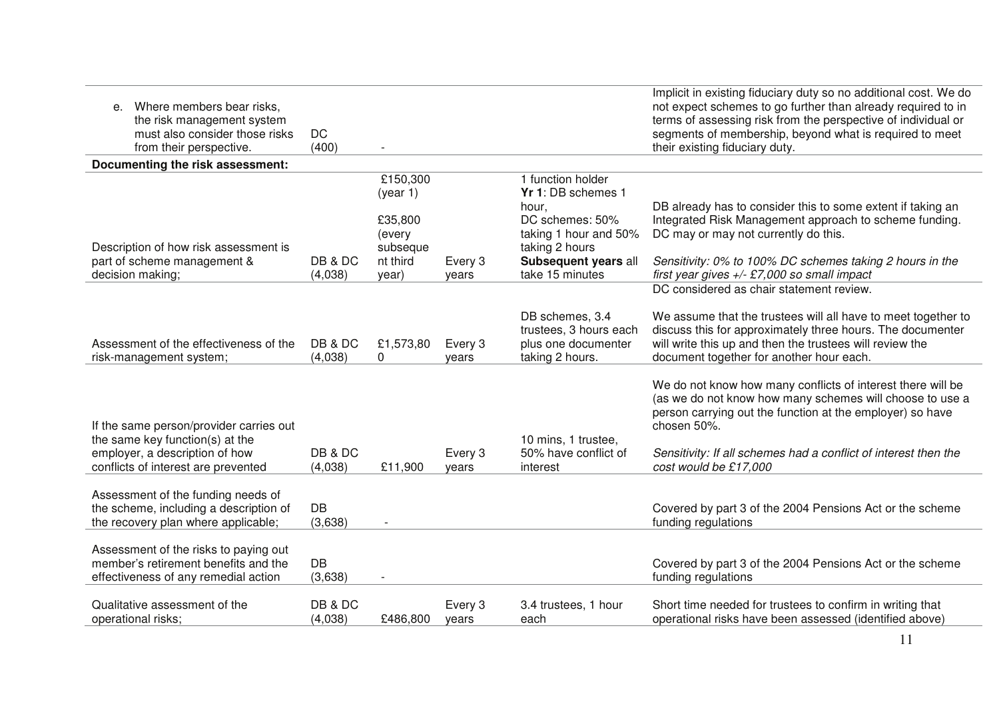| Where members bear risks,<br>е.<br>the risk management system<br>must also consider those risks<br>from their perspective.                          | <b>DC</b><br>(400) |                                                                            |                  |                                                                                                                                                           | Implicit in existing fiduciary duty so no additional cost. We do<br>not expect schemes to go further than already required to in<br>terms of assessing risk from the perspective of individual or<br>segments of membership, beyond what is required to meet<br>their existing fiduciary duty.  |
|-----------------------------------------------------------------------------------------------------------------------------------------------------|--------------------|----------------------------------------------------------------------------|------------------|-----------------------------------------------------------------------------------------------------------------------------------------------------------|-------------------------------------------------------------------------------------------------------------------------------------------------------------------------------------------------------------------------------------------------------------------------------------------------|
| Documenting the risk assessment:                                                                                                                    |                    |                                                                            |                  |                                                                                                                                                           |                                                                                                                                                                                                                                                                                                 |
| Description of how risk assessment is<br>part of scheme management &<br>decision making;                                                            | DB & DC<br>(4,038) | £150,300<br>(year 1)<br>£35,800<br>(every<br>subseque<br>nt third<br>year) | Every 3<br>vears | 1 function holder<br>Yr 1: DB schemes 1<br>hour.<br>DC schemes: 50%<br>taking 1 hour and 50%<br>taking 2 hours<br>Subsequent years all<br>take 15 minutes | DB already has to consider this to some extent if taking an<br>Integrated Risk Management approach to scheme funding.<br>DC may or may not currently do this.<br>Sensitivity: 0% to 100% DC schemes taking 2 hours in the<br>first year gives $+/-$ £7,000 so small impact                      |
|                                                                                                                                                     |                    |                                                                            |                  |                                                                                                                                                           | DC considered as chair statement review.                                                                                                                                                                                                                                                        |
| Assessment of the effectiveness of the<br>risk-management system;                                                                                   | DB & DC<br>(4,038) | £1,573,80<br>$\Omega$                                                      | Every 3<br>years | DB schemes, 3.4<br>trustees, 3 hours each<br>plus one documenter<br>taking 2 hours.                                                                       | We assume that the trustees will all have to meet together to<br>discuss this for approximately three hours. The documenter<br>will write this up and then the trustees will review the<br>document together for another hour each.                                                             |
| If the same person/provider carries out<br>the same key function(s) at the<br>employer, a description of how<br>conflicts of interest are prevented | DB & DC<br>(4,038) | £11,900                                                                    | Every 3<br>years | 10 mins, 1 trustee,<br>50% have conflict of<br>interest                                                                                                   | We do not know how many conflicts of interest there will be<br>(as we do not know how many schemes will choose to use a<br>person carrying out the function at the employer) so have<br>chosen 50%.<br>Sensitivity: If all schemes had a conflict of interest then the<br>cost would be £17,000 |
| Assessment of the funding needs of<br>the scheme, including a description of<br>the recovery plan where applicable;                                 | DB<br>(3,638)      | $\blacksquare$                                                             |                  |                                                                                                                                                           | Covered by part 3 of the 2004 Pensions Act or the scheme<br>funding regulations                                                                                                                                                                                                                 |
| Assessment of the risks to paying out<br>member's retirement benefits and the<br>effectiveness of any remedial action                               | DB<br>(3,638)      |                                                                            |                  |                                                                                                                                                           | Covered by part 3 of the 2004 Pensions Act or the scheme<br>funding regulations                                                                                                                                                                                                                 |
| Qualitative assessment of the<br>operational risks;                                                                                                 | DB & DC<br>(4,038) | £486,800                                                                   | Every 3<br>years | 3.4 trustees, 1 hour<br>each                                                                                                                              | Short time needed for trustees to confirm in writing that<br>operational risks have been assessed (identified above)                                                                                                                                                                            |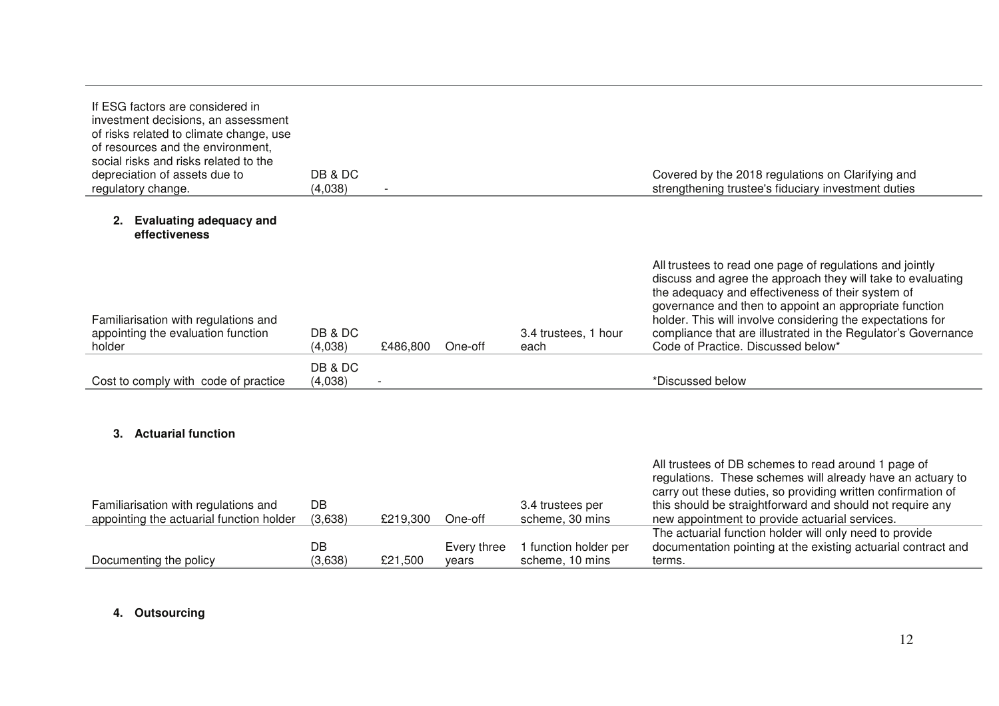| If ESG factors are considered in<br>investment decisions, an assessment<br>of risks related to climate change, use<br>of resources and the environment.<br>social risks and risks related to the<br>depreciation of assets due to<br>regulatory change. | DB & DC<br>(4,038) |          |         |                              | Covered by the 2018 regulations on Clarifying and<br>strengthening trustee's fiduciary investment duties                                                                                                                                                                                                                                                                                                    |
|---------------------------------------------------------------------------------------------------------------------------------------------------------------------------------------------------------------------------------------------------------|--------------------|----------|---------|------------------------------|-------------------------------------------------------------------------------------------------------------------------------------------------------------------------------------------------------------------------------------------------------------------------------------------------------------------------------------------------------------------------------------------------------------|
| <b>Evaluating adequacy and</b><br>2.<br>effectiveness                                                                                                                                                                                                   |                    |          |         |                              |                                                                                                                                                                                                                                                                                                                                                                                                             |
| Familiarisation with regulations and<br>appointing the evaluation function<br>holder                                                                                                                                                                    | DB & DC<br>(4,038) | £486,800 | One-off | 3.4 trustees, 1 hour<br>each | All trustees to read one page of regulations and jointly<br>discuss and agree the approach they will take to evaluating<br>the adequacy and effectiveness of their system of<br>governance and then to appoint an appropriate function<br>holder. This will involve considering the expectations for<br>compliance that are illustrated in the Regulator's Governance<br>Code of Practice. Discussed below* |
| Cost to comply with code of practice                                                                                                                                                                                                                    | DB & DC<br>(4,038) |          |         |                              | *Discussed below                                                                                                                                                                                                                                                                                                                                                                                            |
| <b>Actuarial function</b><br>3.                                                                                                                                                                                                                         |                    |          |         |                              | All trustees of DB schemes to read around 1 page of<br>regulations. These schemes will already have an actuary to<br>carry out these duties, so providing written confirmation of                                                                                                                                                                                                                           |
| Familiarisation with regulations and                                                                                                                                                                                                                    | DB                 |          |         | 3.4 trustees per             | this should be straightforward and should not require any                                                                                                                                                                                                                                                                                                                                                   |

| Familiarisation with regulations and     | DВ      |          |             | 3.4 trustees per      | this should be straightforward and should not require any     |
|------------------------------------------|---------|----------|-------------|-----------------------|---------------------------------------------------------------|
| appointing the actuarial function holder | (3,638) | £219.300 | One-off     | scheme, 30 mins       | new appointment to provide actuarial services.                |
|                                          |         |          |             |                       | The actuarial function holder will only need to provide       |
|                                          | DB      |          | Every three | 1 function holder per | documentation pointing at the existing actuarial contract and |
| Documenting the policy                   | (3,638) | £21.500  | vears       | scheme. 10 mins       | terms.                                                        |
|                                          |         |          |             |                       |                                                               |

# **4. Outsourcing**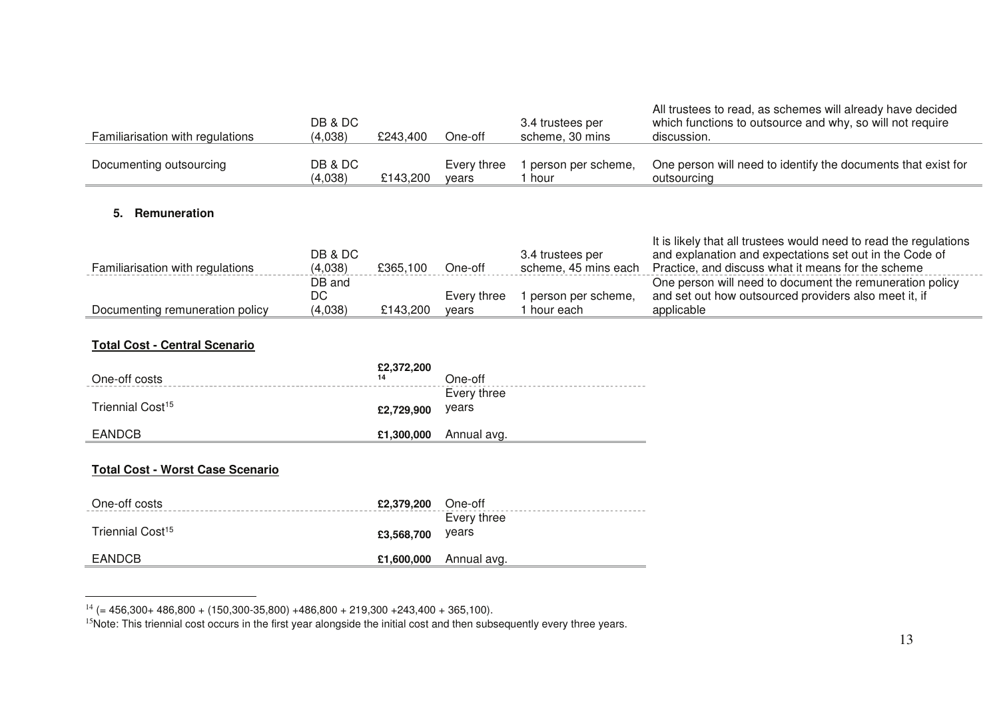| Familiarisation with regulations | DB & DC<br>(4,038) | £243,400 | One-off              | 3.4 trustees per<br>scheme, 30 mins      | All trustees to read, as schemes will already have decided<br>which functions to outsource and why, so will not require<br>discussion.                                             |
|----------------------------------|--------------------|----------|----------------------|------------------------------------------|------------------------------------------------------------------------------------------------------------------------------------------------------------------------------------|
| Documenting outsourcing          | DB & DC<br>(4,038) | £143,200 | Every three<br>vears | person per scheme,<br>l hour             | One person will need to identify the documents that exist for<br>outsourcing                                                                                                       |
| <b>Remuneration</b>              |                    |          |                      |                                          |                                                                                                                                                                                    |
| Familiarisation with regulations | DB & DC<br>(4,038) | £365,100 | One-off              | 3.4 trustees per<br>scheme, 45 mins each | It is likely that all trustees would need to read the regulations<br>and explanation and expectations set out in the Code of<br>Practice, and discuss what it means for the scheme |
|                                  | ~~                 |          |                      |                                          |                                                                                                                                                                                    |

|                                 |         | -------- | -----       |                      | סוווטווטט טוואר וט ושטווי וואוואר טטשטשטאר וטאוואר ווא וואס |
|---------------------------------|---------|----------|-------------|----------------------|-------------------------------------------------------------|
|                                 | DB and  |          |             |                      | One person will need to document the remuneration policy    |
|                                 | DC      |          | Every three | l person per scheme. | and set out how outsourced providers also meet it, if       |
| Documenting remuneration policy | (4,038) | £143,200 | vears       | hour each            | applicable                                                  |
|                                 |         |          |             |                      |                                                             |

# **Total Cost - Central Scenario**

| One-off costs                | £2,372,200<br>14 | One-off              |
|------------------------------|------------------|----------------------|
| Triennial Cost <sup>15</sup> | £2,729,900       | Every three<br>vears |
| <b>EANDCB</b>                | £1,300,000       | Annual avg.          |

#### **Total Cost - Worst Case Scenario**

| One-off costs                | £2,379,200 | One-off                  |
|------------------------------|------------|--------------------------|
|                              |            | Every three              |
| Triennial Cost <sup>15</sup> | £3,568,700 | years                    |
| <b>EANDCB</b>                |            | $£1,600,000$ Annual avg. |
|                              |            |                          |

 $^{14}$  (= 456,300+ 486,800 + (150,300-35,800) +486,800 + 219,300 +243,400 + 365,100).<br><sup>I5</sup>Note: This triennial cost occurs in the first year alongside the initial cost and then subsequently every three years.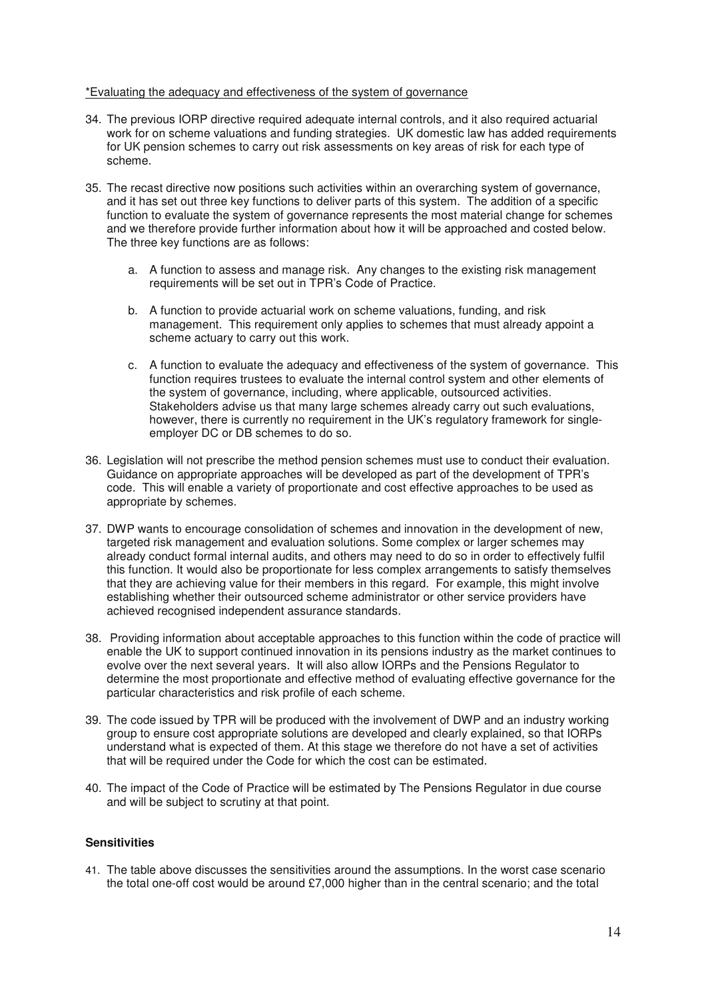#### \*Evaluating the adequacy and effectiveness of the system of governance

- 34. The previous IORP directive required adequate internal controls, and it also required actuarial work for on scheme valuations and funding strategies. UK domestic law has added requirements for UK pension schemes to carry out risk assessments on key areas of risk for each type of scheme.
- 35. The recast directive now positions such activities within an overarching system of governance, and it has set out three key functions to deliver parts of this system. The addition of a specific function to evaluate the system of governance represents the most material change for schemes and we therefore provide further information about how it will be approached and costed below. The three key functions are as follows:
	- a. A function to assess and manage risk. Any changes to the existing risk management requirements will be set out in TPR's Code of Practice.
	- b. A function to provide actuarial work on scheme valuations, funding, and risk management. This requirement only applies to schemes that must already appoint a scheme actuary to carry out this work.
	- c. A function to evaluate the adequacy and effectiveness of the system of governance. This function requires trustees to evaluate the internal control system and other elements of the system of governance, including, where applicable, outsourced activities. Stakeholders advise us that many large schemes already carry out such evaluations, however, there is currently no requirement in the UK's regulatory framework for singleemployer DC or DB schemes to do so.
- 36. Legislation will not prescribe the method pension schemes must use to conduct their evaluation. Guidance on appropriate approaches will be developed as part of the development of TPR's code. This will enable a variety of proportionate and cost effective approaches to be used as appropriate by schemes.
- 37. DWP wants to encourage consolidation of schemes and innovation in the development of new, targeted risk management and evaluation solutions. Some complex or larger schemes may already conduct formal internal audits, and others may need to do so in order to effectively fulfil this function. It would also be proportionate for less complex arrangements to satisfy themselves that they are achieving value for their members in this regard. For example, this might involve establishing whether their outsourced scheme administrator or other service providers have achieved recognised independent assurance standards.
- 38. Providing information about acceptable approaches to this function within the code of practice will enable the UK to support continued innovation in its pensions industry as the market continues to evolve over the next several years. It will also allow IORPs and the Pensions Regulator to determine the most proportionate and effective method of evaluating effective governance for the particular characteristics and risk profile of each scheme.
- 39. The code issued by TPR will be produced with the involvement of DWP and an industry working group to ensure cost appropriate solutions are developed and clearly explained, so that IORPs understand what is expected of them. At this stage we therefore do not have a set of activities that will be required under the Code for which the cost can be estimated.
- 40. The impact of the Code of Practice will be estimated by The Pensions Regulator in due course and will be subject to scrutiny at that point.

#### **Sensitivities**

41. The table above discusses the sensitivities around the assumptions. In the worst case scenario the total one-off cost would be around £7,000 higher than in the central scenario; and the total